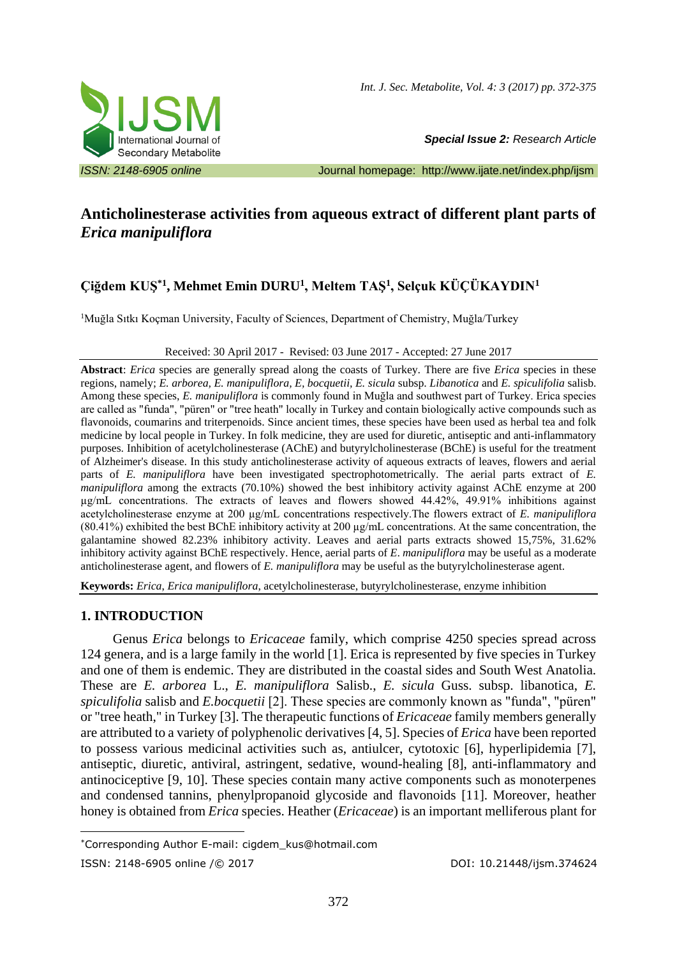

*Special Issue 2: Research Article* 

*ISSN: 2148-6905 online* Journal homepage: <http://www.ijate.net/index.php/ijsm>

# **Anticholinesterase activities from aqueous extract of different plant parts of**  *Erica manipuliflora*

# **Çiğdem KUŞ\*1 , Mehmet Emin DURU<sup>1</sup> , Meltem TAŞ<sup>1</sup> , Selçuk KÜÇÜKAYDIN<sup>1</sup>**

<sup>1</sup>Muğla Sıtkı Koçman University, Faculty of Sciences, Department of Chemistry, Muğla/Turkey

### Received: 30 April 2017 - Revised: 03 June 2017 - Accepted: 27 June 2017

**Abstract**: *Erica* species are generally spread along the coasts of Turkey. There are five *Erica* species in these regions, namely; *E. arborea, E. manipuliflora, E, bocquetii, E. sicula* subsp. *Libanotica* and *E. spiculifolia* salisb. Among these species, *E. manipuliflora* is commonly found in Muğla and southwest part of Turkey. Erica species are called as "funda", "püren" or "tree heath" locally in Turkey and contain biologically active compounds such as flavonoids, coumarins and triterpenoids. Since ancient times, these species have been used as herbal tea and folk medicine by local people in Turkey. In folk medicine, they are used for diuretic, antiseptic and anti-inflammatory purposes. Inhibition of acetylcholinesterase (AChE) and butyrylcholinesterase (BChE) is useful for the treatment of Alzheimer's disease. In this study anticholinesterase activity of aqueous extracts of leaves, flowers and aerial parts of *E. manipuliflora* have been investigated spectrophotometrically. The aerial parts extract of *E. manipuliflora* among the extracts (70.10%) showed the best inhibitory activity against AChE enzyme at 200 µg/mL concentrations. The extracts of leaves and flowers showed 44.42%, 49.91% inhibitions against acetylcholinesterase enzyme at 200 µg/mL concentrations respectively.The flowers extract of *E. manipuliflora* (80.41%) exhibited the best BChE inhibitory activity at 200  $\mu$ g/mL concentrations. At the same concentration, the galantamine showed 82.23% inhibitory activity. Leaves and aerial parts extracts showed 15,75%, 31.62% inhibitory activity against BChE respectively. Hence, aerial parts of *E*. *manipuliflora* may be useful as a moderate anticholinesterase agent, and flowers of *E. manipuliflora* may be useful as the butyrylcholinesterase agent.

**Keywords:** *Erica*, *Erica manipuliflora*, acetylcholinesterase, butyrylcholinesterase, enzyme inhibition

## **1. INTRODUCTION**

Genus *Erica* belongs to *Ericaceae* family, which comprise 4250 species spread across 124 genera, and is a large family in the world [1]. Erica is represented by five species in Turkey and one of them is endemic. They are distributed in the coastal sides and South West Anatolia. These are *E. arborea* L., *E. manipuliflora* Salisb., *E. sicula* Guss. subsp. libanotica, *E. spiculifolia* salisb and *E.bocquetii* [2]. These species are commonly known as "funda", "püren" or "tree heath," in Turkey [3]. The therapeutic functions of *Ericaceae* family members generally are attributed to a variety of polyphenolic derivatives [4, 5]. Species of *Erica* have been reported to possess various medicinal activities such as, antiulcer, cytotoxic [6], hyperlipidemia [7], antiseptic, diuretic, antiviral, astringent, sedative, wound-healing [8], anti-inflammatory and antinociceptive [9, 10]. These species contain many active components such as monoterpenes and condensed tannins, phenylpropanoid glycoside and flavonoids [11]. Moreover, heather honey is obtained from *Erica* species. Heather (*Ericaceae*) is an important melliferous plant for

<sup>1</sup> \*Corresponding Author E-mail: cigdem\_kus@hotmail.com

ISSN: 2148-6905 online /© 2017 DOI: 10.21448/ijsm.374624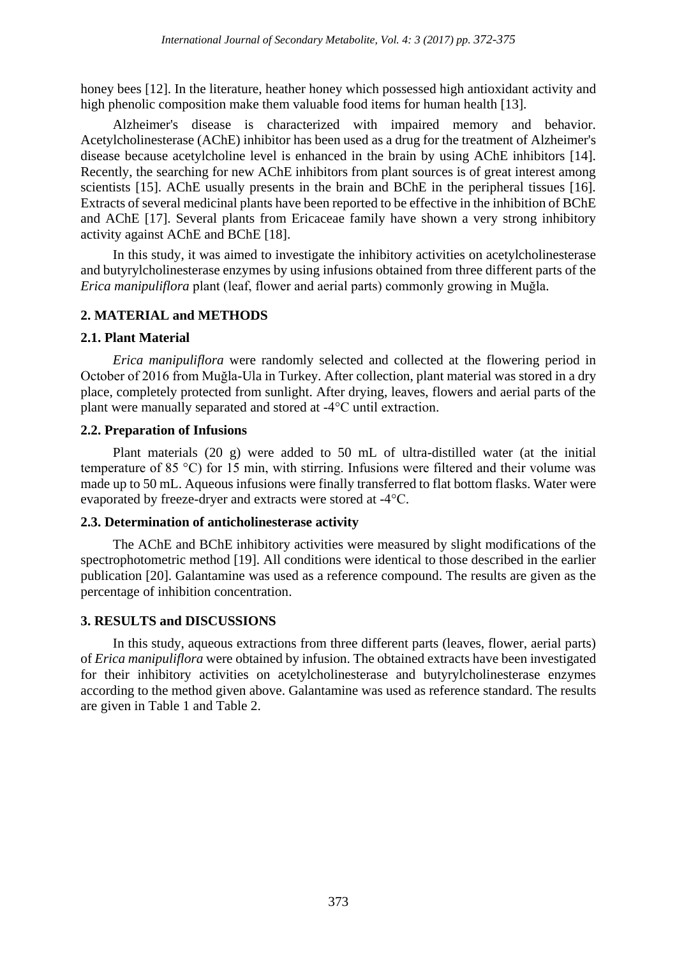honey bees [12]. In the literature, heather honey which possessed high antioxidant activity and high phenolic composition make them valuable food items for human health [13].

Alzheimer's disease is characterized with impaired memory and behavior. Acetylcholinesterase (AChE) inhibitor has been used as a drug for the treatment of Alzheimer's disease because acetylcholine level is enhanced in the brain by using AChE inhibitors [14]. Recently, the searching for new AChE inhibitors from plant sources is of great interest among scientists [15]. AChE usually presents in the brain and BChE in the peripheral tissues [16]. Extracts of several medicinal plants have been reported to be effective in the inhibition of BChE and AChE [17]. Several plants from Ericaceae family have shown a very strong inhibitory activity against AChE and BChE [18].

In this study, it was aimed to investigate the inhibitory activities on acetylcholinesterase and butyrylcholinesterase enzymes by using infusions obtained from three different parts of the *Erica manipuliflora* plant (leaf, flower and aerial parts) commonly growing in Muğla.

## **2. MATERIAL and METHODS**

### **2.1. Plant Material**

*Erica manipuliflora* were randomly selected and collected at the flowering period in October of 2016 from Muğla-Ula in Turkey. After collection, plant material was stored in a dry place, completely protected from sunlight. After drying, leaves, flowers and aerial parts of the plant were manually separated and stored at -4°C until extraction.

## **2.2. Preparation of Infusions**

Plant materials (20 g) were added to 50 mL of ultra-distilled water (at the initial temperature of 85 °C) for 15 min, with stirring. Infusions were filtered and their volume was made up to 50 mL. Aqueous infusions were finally transferred to flat bottom flasks. Water were evaporated by freeze-dryer and extracts were stored at -4°C.

### **2.3. Determination of anticholinesterase activity**

The AChE and BChE inhibitory activities were measured by slight modifications of the spectrophotometric method [19]. All conditions were identical to those described in the earlier publication [20]. Galantamine was used as a reference compound. The results are given as the percentage of inhibition concentration.

## **3. RESULTS and DISCUSSIONS**

In this study, aqueous extractions from three different parts (leaves, flower, aerial parts) of *Erica manipuliflora* were obtained by infusion. The obtained extracts have been investigated for their inhibitory activities on acetylcholinesterase and butyrylcholinesterase enzymes according to the method given above. Galantamine was used as reference standard. The results are given in Table 1 and Table 2.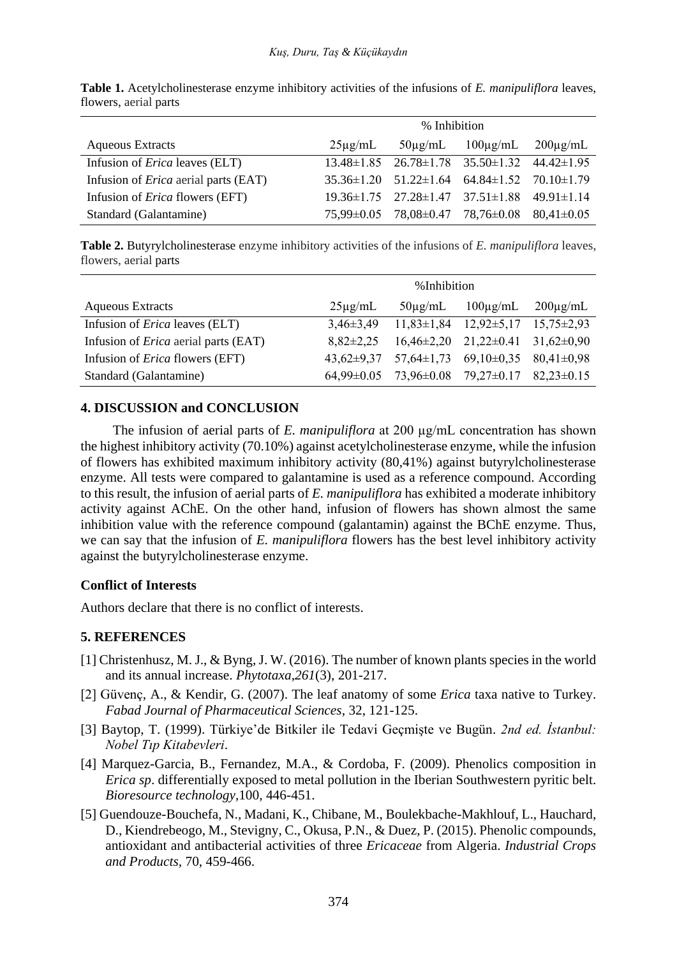|                                             | % Inhibition |                                                                     |               |               |
|---------------------------------------------|--------------|---------------------------------------------------------------------|---------------|---------------|
| <b>Aqueous Extracts</b>                     | $25\mu$ g/mL | $50\mu$ g/mL                                                        | $100\mu$ g/mL | $200\mu$ g/mL |
| Infusion of <i>Erica</i> leaves (ELT)       |              | $13.48 \pm 1.85$ $26.78 \pm 1.78$ $35.50 \pm 1.32$ $44.42 \pm 1.95$ |               |               |
| Infusion of <i>Erica</i> aerial parts (EAT) |              | $35.36\pm1.20$ $51.22\pm1.64$ $64.84\pm1.52$ $70.10\pm1.79$         |               |               |
| Infusion of <i>Erica</i> flowers (EFT)      |              | $19.36 \pm 1.75$ $27.28 \pm 1.47$ $37.51 \pm 1.88$ $49.91 \pm 1.14$ |               |               |
| Standard (Galantamine)                      |              | $75,99\pm0.05$ $78,08\pm0.47$ $78,76\pm0.08$ $80,41\pm0.05$         |               |               |

**Table 1.** Acetylcholinesterase enzyme inhibitory activities of the infusions of *E. manipuliflora* leaves, flowers, aerial parts

**Table 2.** Butyrylcholinesterase enzyme inhibitory activities of the infusions of *E. manipuliflora* leaves, flowers, aerial parts

|                                             | %Inhibition      |                  |                                              |                  |
|---------------------------------------------|------------------|------------------|----------------------------------------------|------------------|
| <b>Aqueous Extracts</b>                     | $25\mu$ g/mL     | $50\mu$ g/mL     | $100\mu$ g/mL                                | $200\mu$ g/mL    |
| Infusion of <i>Erica</i> leaves (ELT)       | $3,46\pm3,49$    | $11,83\pm1,84$   | $12,92 \pm 5,17$                             | $15.75 \pm 2.93$ |
| Infusion of <i>Erica</i> aerial parts (EAT) | $8,82\pm2,25$    |                  | $16,46\pm2,20$ $21,22\pm0.41$ $31,62\pm0.90$ |                  |
| Infusion of <i>Erica</i> flowers (EFT)      | $43,62 \pm 9,37$ | $57,64 \pm 1,73$ | $69,10\pm0.35$                               | $80,41\pm0.98$   |
| Standard (Galantamine)                      | $64.99 \pm 0.05$ |                  | $73,96\pm0.08$ $79,27\pm0.17$                | $82,23\pm0.15$   |

## **4. DISCUSSION and CONCLUSION**

The infusion of aerial parts of *E. manipuliflora* at 200 µg/mL concentration has shown the highest inhibitory activity (70.10%) against acetylcholinesterase enzyme, while the infusion of flowers has exhibited maximum inhibitory activity (80,41%) against butyrylcholinesterase enzyme. All tests were compared to galantamine is used as a reference compound. According to this result, the infusion of aerial parts of *E. manipuliflora* has exhibited a moderate inhibitory activity against AChE. On the other hand, infusion of flowers has shown almost the same inhibition value with the reference compound (galantamin) against the BChE enzyme. Thus, we can say that the infusion of *E. manipuliflora* flowers has the best level inhibitory activity against the butyrylcholinesterase enzyme.

### **Conflict of Interests**

Authors declare that there is no conflict of interests.

### **5. REFERENCES**

- [1] Christenhusz, M. J., & Byng, J. W. (2016). The number of known plants species in the world and its annual increase. *Phytotaxa*,*261*(3), 201-217.
- [2] Güvenç, A., & Kendir, G. (2007). The leaf anatomy of some *Erica* taxa native to Turkey. *Fabad Journal of Pharmaceutical Sciences*, 32, 121-125.
- [3] Baytop, T. (1999). Türkiye'de Bitkiler ile Tedavi Geçmişte ve Bugün. *2nd ed. İstanbul: Nobel Tıp Kitabevleri*.
- [4] Marquez-Garcia, B., Fernandez, M.A., & Cordoba, F. (2009). Phenolics composition in *Erica sp*. differentially exposed to metal pollution in the Iberian Southwestern pyritic belt. *Bioresource technology*,100, 446-451.
- [5] Guendouze-Bouchefa, N., Madani, K., Chibane, M., Boulekbache-Makhlouf, L., Hauchard, D., Kiendrebeogo, M., Stevigny, C., Okusa, P.N., & Duez, P. (2015). Phenolic compounds, antioxidant and antibacterial activities of three *Ericaceae* from Algeria. *Industrial Crops and Products,* 70, 459-466.